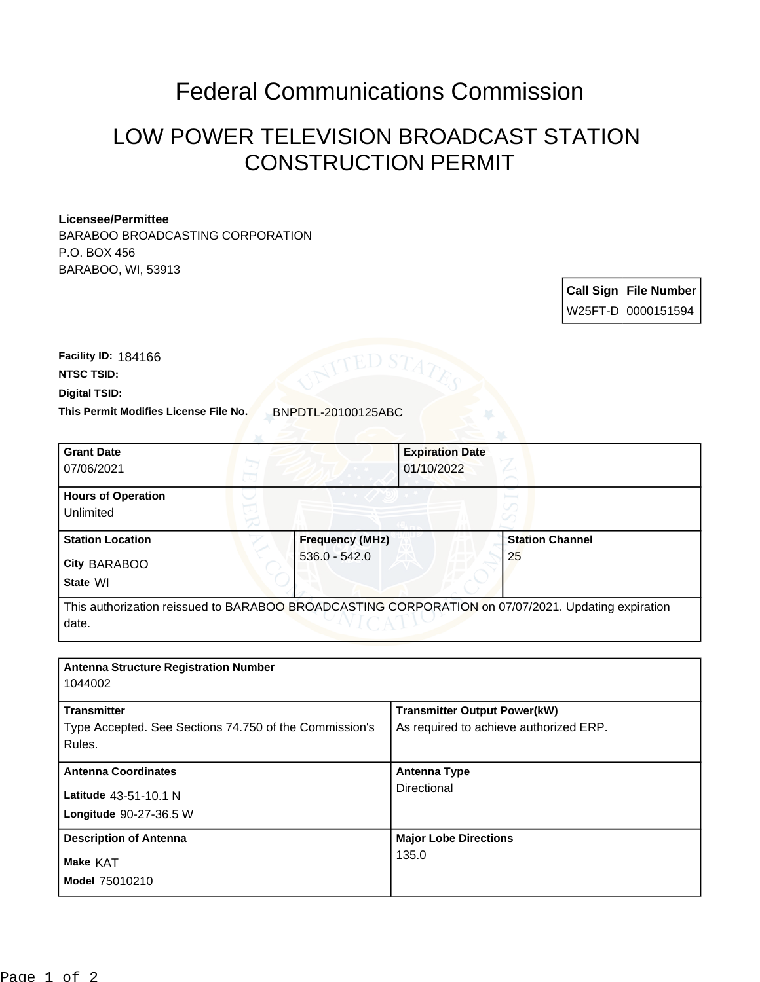## Federal Communications Commission

## LOW POWER TELEVISION BROADCAST STATION CONSTRUCTION PERMIT

## **Licensee/Permittee**

BARABOO BROADCASTING CORPORATION P.O. BOX 456 BARABOO, WI, 53913

> **Call Sign File Number** W25FT-D 0000151594

**Digital TSID: NTSC TSID: Facility ID:** 184166

**This Permit Modifies License File No.** BNPDTL-20100125ABC

| <b>Grant Date</b><br>07/06/2021                     |                 | <b>Expiration Date</b><br>01/10/2022 |                                                                                                    |
|-----------------------------------------------------|-----------------|--------------------------------------|----------------------------------------------------------------------------------------------------|
| <b>Hours of Operation</b><br>Unlimited              |                 |                                      |                                                                                                    |
| <b>Station Location</b><br>City BARABOO<br>State WI | $536.0 - 542.0$ | <b>Frequency (MHz)</b>               | <b>Station Channel</b><br>25                                                                       |
| date.                                               |                 |                                      | This authorization reissued to BARABOO BROADCASTING CORPORATION on 07/07/2021. Updating expiration |

| <b>Antenna Structure Registration Number</b><br>1044002                                |                                                                               |
|----------------------------------------------------------------------------------------|-------------------------------------------------------------------------------|
| <b>Transmitter</b><br>Type Accepted. See Sections 74.750 of the Commission's<br>Rules. | <b>Transmitter Output Power(kW)</b><br>As required to achieve authorized ERP. |
| <b>Antenna Coordinates</b><br>Latitude 43-51-10.1 N<br>Longitude 90-27-36.5 W          | <b>Antenna Type</b><br>Directional                                            |
| <b>Description of Antenna</b><br>Make KAT<br><b>Model 75010210</b>                     | <b>Major Lobe Directions</b><br>135.0                                         |